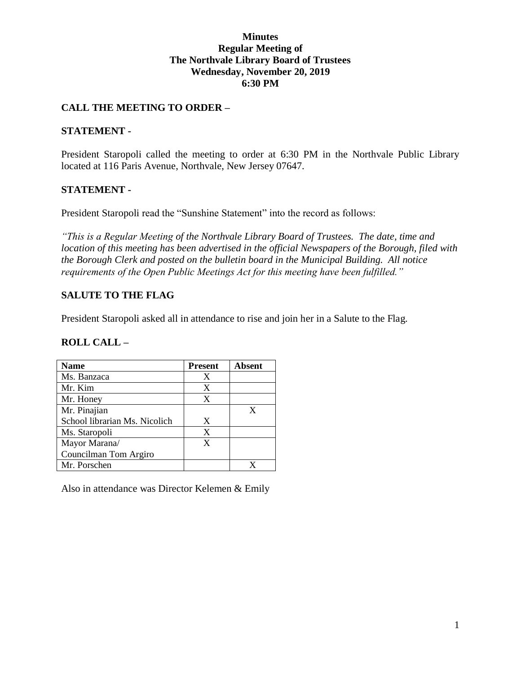#### **Minutes Regular Meeting of The Northvale Library Board of Trustees Wednesday, November 20, 2019 6:30 PM**

## **CALL THE MEETING TO ORDER –**

#### **STATEMENT -**

President Staropoli called the meeting to order at 6:30 PM in the Northvale Public Library located at 116 Paris Avenue, Northvale, New Jersey 07647.

### **STATEMENT -**

President Staropoli read the "Sunshine Statement" into the record as follows:

*"This is a Regular Meeting of the Northvale Library Board of Trustees. The date, time and location of this meeting has been advertised in the official Newspapers of the Borough, filed with the Borough Clerk and posted on the bulletin board in the Municipal Building. All notice requirements of the Open Public Meetings Act for this meeting have been fulfilled."* 

## **SALUTE TO THE FLAG**

President Staropoli asked all in attendance to rise and join her in a Salute to the Flag.

#### **ROLL CALL –**

| Name                          | <b>Present</b> | <b>Absent</b> |
|-------------------------------|----------------|---------------|
| Ms. Banzaca                   | X              |               |
| Mr. Kim                       | X              |               |
| Mr. Honey                     | X              |               |
| Mr. Pinajian                  |                |               |
| School librarian Ms. Nicolich | X              |               |
| Ms. Staropoli                 | X              |               |
| Mayor Marana/                 | X              |               |
| Councilman Tom Argiro         |                |               |
| Mr. Porschen                  |                |               |

Also in attendance was Director Kelemen & Emily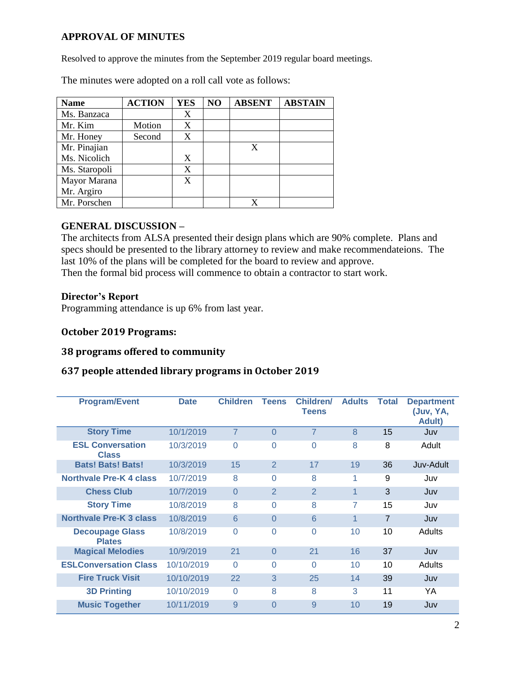## **APPROVAL OF MINUTES**

Resolved to approve the minutes from the September 2019 regular board meetings.

The minutes were adopted on a roll call vote as follows:

| <b>Name</b>   | <b>ACTION</b> | <b>YES</b> | NO | <b>ABSENT</b> | <b>ABSTAIN</b> |
|---------------|---------------|------------|----|---------------|----------------|
| Ms. Banzaca   |               | X          |    |               |                |
| Mr. Kim       | Motion        | X          |    |               |                |
| Mr. Honey     | Second        | X          |    |               |                |
| Mr. Pinajian  |               |            |    | X             |                |
| Ms. Nicolich  |               | X          |    |               |                |
| Ms. Staropoli |               | X          |    |               |                |
| Mayor Marana  |               | X          |    |               |                |
| Mr. Argiro    |               |            |    |               |                |
| Mr. Porschen  |               |            |    |               |                |

#### **GENERAL DISCUSSION –**

The architects from ALSA presented their design plans which are 90% complete. Plans and specs should be presented to the library attorney to review and make recommendateions. The last 10% of the plans will be completed for the board to review and approve. Then the formal bid process will commence to obtain a contractor to start work.

#### **Director's Report**

Programming attendance is up 6% from last year.

#### **October 2019 Programs:**

### **38 programs offered to community**

### **637 people attended library programs in October 2019**

| <b>Program/Event</b>                    | <b>Date</b> | <b>Children</b> | <b>Teens</b>   | Children/<br><b>Teens</b> | <b>Adults</b> | <b>Total</b> | <b>Department</b><br>(Juv, YA,<br><b>Adult)</b> |
|-----------------------------------------|-------------|-----------------|----------------|---------------------------|---------------|--------------|-------------------------------------------------|
| <b>Story Time</b>                       | 10/1/2019   | $\overline{7}$  | $\Omega$       | $\overline{7}$            | 8             | 15           | Juv                                             |
| <b>ESL Conversation</b><br><b>Class</b> | 10/3/2019   | $\Omega$        | 0              | $\Omega$                  | 8             | 8            | Adult                                           |
| <b>Bats! Bats! Bats!</b>                | 10/3/2019   | 15              | $\overline{2}$ | 17                        | 19            | 36           | Juv-Adult                                       |
| Northvale Pre-K 4 class                 | 10/7/2019   | 8               | $\Omega$       | 8                         | 1             | 9            | Juv                                             |
| <b>Chess Club</b>                       | 10/7/2019   | $\Omega$        | 2              | $\overline{2}$            | 1             | 3            | Juv                                             |
| <b>Story Time</b>                       | 10/8/2019   | 8               | $\Omega$       | 8                         | 7             | 15           | Juv                                             |
| Northvale Pre-K 3 class                 | 10/8/2019   | 6               | $\Omega$       | 6                         | 1             | 7            | Juv                                             |
| <b>Decoupage Glass</b><br><b>Plates</b> | 10/8/2019   | $\Omega$        | $\Omega$       | $\Omega$                  | 10            | 10           | Adults                                          |
| <b>Magical Melodies</b>                 | 10/9/2019   | 21              | $\Omega$       | 21                        | 16            | 37           | Juv                                             |
| <b>ESLConversation Class</b>            | 10/10/2019  | $\Omega$        | 0              | $\Omega$                  | 10            | 10           | Adults                                          |
| <b>Fire Truck Visit</b>                 | 10/10/2019  | 22              | 3              | 25                        | 14            | 39           | Juv                                             |
| <b>3D Printing</b>                      | 10/10/2019  | $\Omega$        | 8              | 8                         | 3             | 11           | YA                                              |
| <b>Music Together</b>                   | 10/11/2019  | 9               | $\Omega$       | 9                         | 10            | 19           | Juv                                             |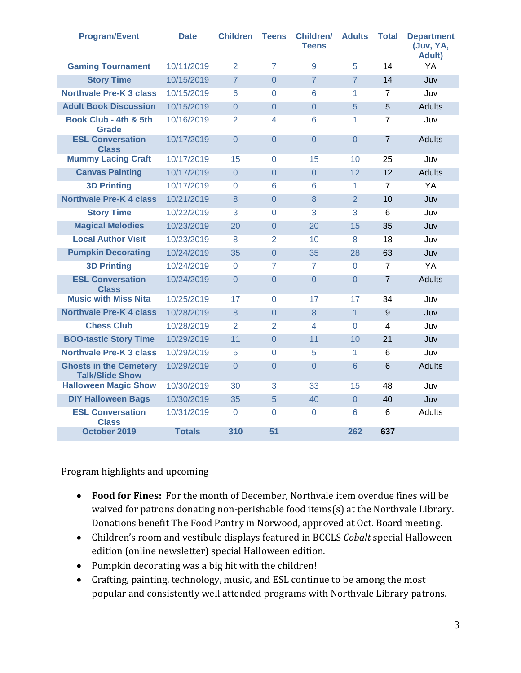| <b>Program/Event</b>                                    | <b>Date</b>   | <b>Children</b> | <b>Teens</b>   | <b>Children/</b><br><b>Teens</b> | <b>Adults</b>  | <b>Total</b>   | <b>Department</b><br>(Juv, YA,<br><b>Adult)</b> |
|---------------------------------------------------------|---------------|-----------------|----------------|----------------------------------|----------------|----------------|-------------------------------------------------|
| <b>Gaming Tournament</b>                                | 10/11/2019    | $\overline{2}$  | $\overline{7}$ | 9                                | 5              | 14             | YA                                              |
| <b>Story Time</b>                                       | 10/15/2019    | $\overline{7}$  | $\overline{0}$ | $\overline{7}$                   | $\overline{7}$ | 14             | Juv                                             |
| <b>Northvale Pre-K 3 class</b>                          | 10/15/2019    | 6               | $\overline{0}$ | 6                                | 1              | $\overline{7}$ | Juv                                             |
| <b>Adult Book Discussion</b>                            | 10/15/2019    | $\Omega$        | $\overline{0}$ | $\Omega$                         | 5              | 5              | <b>Adults</b>                                   |
| Book Club - 4th & 5th<br><b>Grade</b>                   | 10/16/2019    | $\overline{2}$  | 4              | 6                                | 1              | $\overline{7}$ | Juv                                             |
| <b>ESL Conversation</b><br><b>Class</b>                 | 10/17/2019    | $\Omega$        | $\overline{0}$ | $\Omega$                         | $\Omega$       | $\overline{7}$ | <b>Adults</b>                                   |
| <b>Mummy Lacing Craft</b>                               | 10/17/2019    | 15              | $\Omega$       | 15                               | 10             | 25             | Juv                                             |
| <b>Canvas Painting</b>                                  | 10/17/2019    | $\overline{0}$  | $\overline{0}$ | $\Omega$                         | 12             | 12             | <b>Adults</b>                                   |
| <b>3D Printing</b>                                      | 10/17/2019    | $\Omega$        | 6              | 6                                | 1              | $\overline{7}$ | YA                                              |
| <b>Northvale Pre-K 4 class</b>                          | 10/21/2019    | 8               | $\overline{0}$ | 8                                | 2              | 10             | Juv                                             |
| <b>Story Time</b>                                       | 10/22/2019    | 3               | $\Omega$       | 3                                | 3              | 6              | Juv                                             |
| <b>Magical Melodies</b>                                 | 10/23/2019    | 20              | $\overline{0}$ | 20                               | 15             | 35             | Juv                                             |
| <b>Local Author Visit</b>                               | 10/23/2019    | 8               | $\overline{2}$ | 10                               | 8              | 18             | Juv                                             |
| <b>Pumpkin Decorating</b>                               | 10/24/2019    | 35              | $\overline{0}$ | 35                               | 28             | 63             | Juv                                             |
| <b>3D Printing</b>                                      | 10/24/2019    | $\Omega$        | 7              | 7                                | $\Omega$       | $\overline{7}$ | YA                                              |
| <b>ESL Conversation</b><br><b>Class</b>                 | 10/24/2019    | $\Omega$        | $\overline{0}$ | $\Omega$                         | $\Omega$       | $\overline{7}$ | <b>Adults</b>                                   |
| <b>Music with Miss Nita</b>                             | 10/25/2019    | 17              | $\Omega$       | 17                               | 17             | 34             | Juv                                             |
| <b>Northvale Pre-K 4 class</b>                          | 10/28/2019    | 8               | $\overline{0}$ | 8                                | $\overline{1}$ | 9              | Juv                                             |
| <b>Chess Club</b>                                       | 10/28/2019    | $\overline{2}$  | $\overline{2}$ | 4                                | $\Omega$       | 4              | Juv                                             |
| <b>BOO-tastic Story Time</b>                            | 10/29/2019    | 11              | $\overline{0}$ | 11                               | 10             | 21             | Juv                                             |
| <b>Northvale Pre-K 3 class</b>                          | 10/29/2019    | 5               | 0              | 5                                | 1              | 6              | Juv                                             |
| <b>Ghosts in the Cemetery</b><br><b>Talk/Slide Show</b> | 10/29/2019    | $\overline{0}$  | $\overline{0}$ | $\Omega$                         | 6              | 6              | <b>Adults</b>                                   |
| <b>Halloween Magic Show</b>                             | 10/30/2019    | 30              | 3              | 33                               | 15             | 48             | Juv                                             |
| <b>DIY Halloween Bags</b>                               | 10/30/2019    | 35              | 5              | 40                               | $\Omega$       | 40             | Juv                                             |
| <b>ESL Conversation</b><br><b>Class</b>                 | 10/31/2019    | $\Omega$        | $\overline{0}$ | $\Omega$                         | 6              | 6              | <b>Adults</b>                                   |
| October 2019                                            | <b>Totals</b> | 310             | 51             |                                  | 262            | 637            |                                                 |

Program highlights and upcoming

- **Food for Fines:** For the month of December, Northvale item overdue fines will be waived for patrons donating non-perishable food items(s) at the Northvale Library. Donations benefit The Food Pantry in Norwood, approved at Oct. Board meeting.
- Children's room and vestibule displays featured in BCCLS *Cobalt* special Halloween edition (online newsletter) special Halloween edition.
- Pumpkin decorating was a big hit with the children!
- Crafting, painting, technology, music, and ESL continue to be among the most popular and consistently well attended programs with Northvale Library patrons.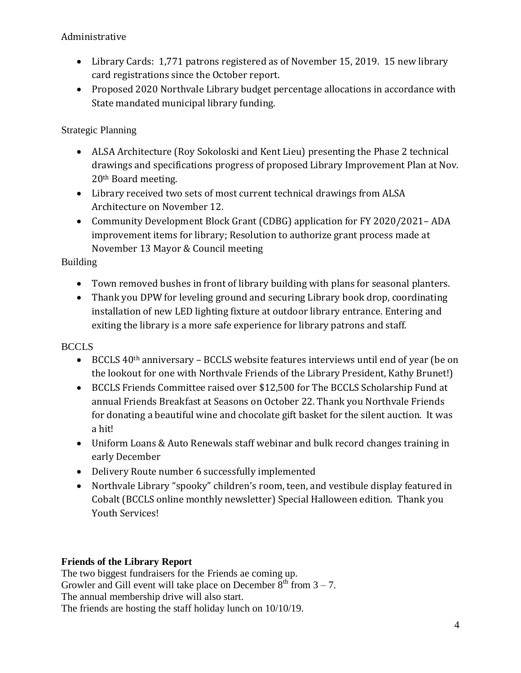# Administrative

- Library Cards: 1,771 patrons registered as of November 15, 2019. 15 new library card registrations since the October report.
- Proposed 2020 Northvale Library budget percentage allocations in accordance with State mandated municipal library funding.

# Strategic Planning

- ALSA Architecture (Roy Sokoloski and Kent Lieu) presenting the Phase 2 technical drawings and specifications progress of proposed Library Improvement Plan at Nov. 20th Board meeting.
- Library received two sets of most current technical drawings from ALSA Architecture on November 12.
- Community Development Block Grant (CDBG) application for FY 2020/2021-ADA improvement items for library; Resolution to authorize grant process made at November 13 Mayor & Council meeting

## Building

- Town removed bushes in front of library building with plans for seasonal planters.
- Thank you DPW for leveling ground and securing Library book drop, coordinating installation of new LED lighting fixture at outdoor library entrance. Entering and exiting the library is a more safe experience for library patrons and staff.

## **BCCLS**

- BCCLS 40th anniversary BCCLS website features interviews until end of year (be on the lookout for one with Northvale Friends of the Library President, Kathy Brunet!)
- BCCLS Friends Committee raised over \$12,500 for The BCCLS Scholarship Fund at annual Friends Breakfast at Seasons on October 22. Thank you Northvale Friends for donating a beautiful wine and chocolate gift basket for the silent auction. It was a hit!
- Uniform Loans & Auto Renewals staff webinar and bulk record changes training in early December
- Delivery Route number 6 successfully implemented
- Northvale Library "spooky" children's room, teen, and vestibule display featured in Cobalt (BCCLS online monthly newsletter) Special Halloween edition. Thank you Youth Services!

## **Friends of the Library Report**

The two biggest fundraisers for the Friends ae coming up. Growler and Gill event will take place on December  $8<sup>th</sup>$  from  $3-7$ . The annual membership drive will also start. The friends are hosting the staff holiday lunch on 10/10/19.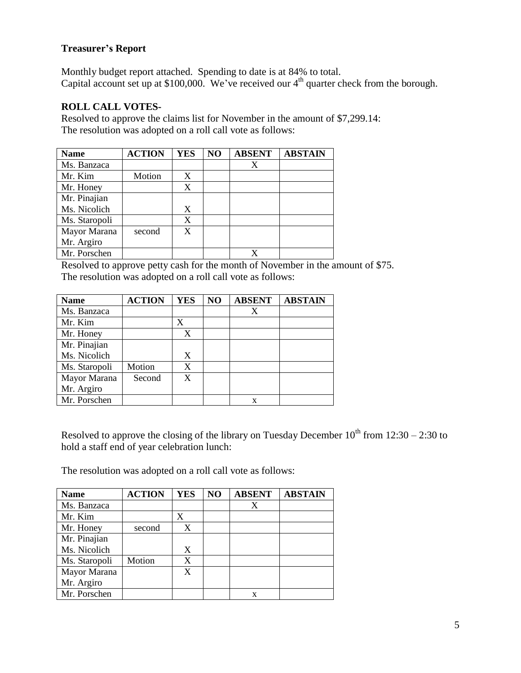## **Treasurer's Report**

Monthly budget report attached. Spending to date is at 84% to total. Capital account set up at  $$100,000$ . We've received our  $4<sup>th</sup>$  quarter check from the borough.

## **ROLL CALL VOTES-**

Resolved to approve the claims list for November in the amount of \$7,299.14: The resolution was adopted on a roll call vote as follows:

| <b>Name</b>   | <b>ACTION</b> | <b>YES</b> | NO | <b>ABSENT</b> | <b>ABSTAIN</b> |
|---------------|---------------|------------|----|---------------|----------------|
| Ms. Banzaca   |               |            |    |               |                |
| Mr. Kim       | Motion        | X          |    |               |                |
| Mr. Honey     |               | X          |    |               |                |
| Mr. Pinajian  |               |            |    |               |                |
| Ms. Nicolich  |               | X          |    |               |                |
| Ms. Staropoli |               | X          |    |               |                |
| Mayor Marana  | second        | X          |    |               |                |
| Mr. Argiro    |               |            |    |               |                |
| Mr. Porschen  |               |            |    |               |                |

Resolved to approve petty cash for the month of November in the amount of \$75. The resolution was adopted on a roll call vote as follows:

| <b>Name</b>   | <b>ACTION</b> | <b>YES</b> | N <sub>O</sub> | <b>ABSENT</b> | <b>ABSTAIN</b> |
|---------------|---------------|------------|----------------|---------------|----------------|
| Ms. Banzaca   |               |            |                | X             |                |
| Mr. Kim       |               | X          |                |               |                |
| Mr. Honey     |               | X          |                |               |                |
| Mr. Pinajian  |               |            |                |               |                |
| Ms. Nicolich  |               | X          |                |               |                |
| Ms. Staropoli | Motion        | X          |                |               |                |
| Mayor Marana  | Second        | X          |                |               |                |
| Mr. Argiro    |               |            |                |               |                |
| Mr. Porschen  |               |            |                | X             |                |

Resolved to approve the closing of the library on Tuesday December  $10^{th}$  from  $12:30 - 2:30$  to hold a staff end of year celebration lunch:

The resolution was adopted on a roll call vote as follows:

| <b>Name</b>   | <b>ACTION</b> | <b>YES</b> | NO | <b>ABSENT</b> | <b>ABSTAIN</b> |
|---------------|---------------|------------|----|---------------|----------------|
| Ms. Banzaca   |               |            |    |               |                |
| Mr. Kim       |               | X          |    |               |                |
| Mr. Honey     | second        | X          |    |               |                |
| Mr. Pinajian  |               |            |    |               |                |
| Ms. Nicolich  |               | X          |    |               |                |
| Ms. Staropoli | Motion        | X          |    |               |                |
| Mayor Marana  |               | X          |    |               |                |
| Mr. Argiro    |               |            |    |               |                |
| Mr. Porschen  |               |            |    | x             |                |